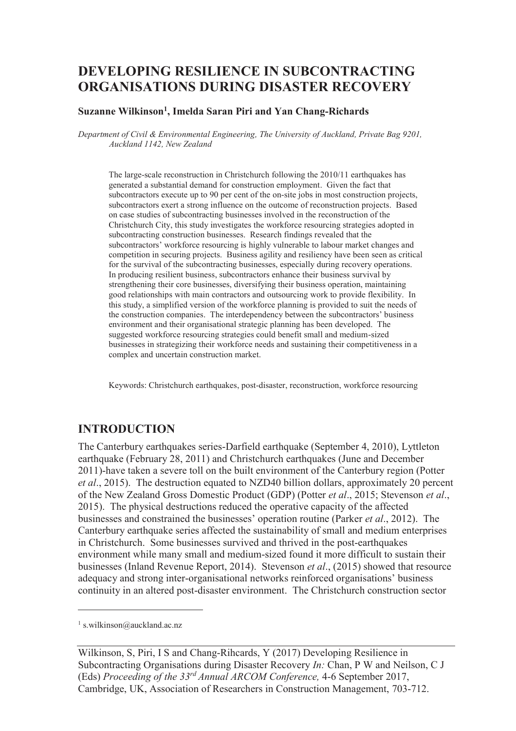# **DEVELOPING RESILIENCE IN SUBCONTRACTING ORGANISATIONS DURING DISASTER RECOVERY**

#### **Suzanne Wilkinson<sup>1</sup> , Imelda Saran Piri and Yan Chang-Richards**

*Department of Civil & Environmental Engineering, The University of Auckland, Private Bag 9201, Auckland 1142, New Zealand* 

The large-scale reconstruction in Christchurch following the 2010/11 earthquakes has generated a substantial demand for construction employment. Given the fact that subcontractors execute up to 90 per cent of the on-site jobs in most construction projects, subcontractors exert a strong influence on the outcome of reconstruction projects. Based on case studies of subcontracting businesses involved in the reconstruction of the Christchurch City, this study investigates the workforce resourcing strategies adopted in subcontracting construction businesses. Research findings revealed that the subcontractors' workforce resourcing is highly vulnerable to labour market changes and competition in securing projects. Business agility and resiliency have been seen as critical for the survival of the subcontracting businesses, especially during recovery operations. In producing resilient business, subcontractors enhance their business survival by strengthening their core businesses, diversifying their business operation, maintaining good relationships with main contractors and outsourcing work to provide flexibility. In this study, a simplified version of the workforce planning is provided to suit the needs of the construction companies. The interdependency between the subcontractors' business environment and their organisational strategic planning has been developed. The suggested workforce resourcing strategies could benefit small and medium-sized businesses in strategizing their workforce needs and sustaining their competitiveness in a complex and uncertain construction market.

Keywords: Christchurch earthquakes, post-disaster, reconstruction, workforce resourcing

### **INTRODUCTION**

The Canterbury earthquakes series-Darfield earthquake (September 4, 2010), Lyttleton earthquake (February 28, 2011) and Christchurch earthquakes (June and December 2011)-have taken a severe toll on the built environment of the Canterbury region (Potter *et al*., 2015). The destruction equated to NZD40 billion dollars, approximately 20 percent of the New Zealand Gross Domestic Product (GDP) (Potter *et al*., 2015; Stevenson *et al*., 2015). The physical destructions reduced the operative capacity of the affected businesses and constrained the businesses' operation routine (Parker *et al*., 2012). The Canterbury earthquake series affected the sustainability of small and medium enterprises in Christchurch. Some businesses survived and thrived in the post-earthquakes environment while many small and medium-sized found it more difficult to sustain their businesses (Inland Revenue Report, 2014). Stevenson *et al*., (2015) showed that resource adequacy and strong inter-organisational networks reinforced organisations' business continuity in an altered post-disaster environment. The Christchurch construction sector

-

<sup>1</sup> s.wilkinson@auckland.ac.nz

Wilkinson, S, Piri, I S and Chang-Rihcards, Y (2017) Developing Resilience in Subcontracting Organisations during Disaster Recovery *In:* Chan, P W and Neilson, C J (Eds) *Proceeding of the 33rd Annual ARCOM Conference,* 4-6 September 2017, Cambridge, UK, Association of Researchers in Construction Management, 703-712.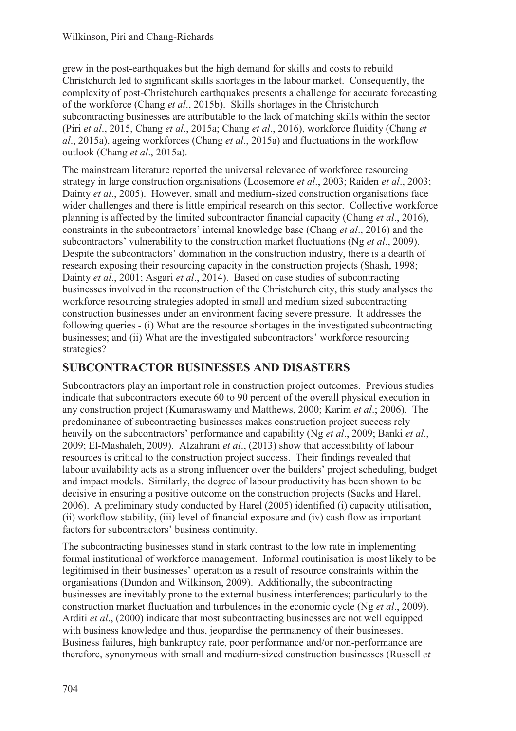grew in the post-earthquakes but the high demand for skills and costs to rebuild Christchurch led to significant skills shortages in the labour market. Consequently, the complexity of post-Christchurch earthquakes presents a challenge for accurate forecasting of the workforce (Chang *et al*., 2015b). Skills shortages in the Christchurch subcontracting businesses are attributable to the lack of matching skills within the sector (Piri *et al*., 2015, Chang *et al*., 2015a; Chang *et al*., 2016), workforce fluidity (Chang *et al*., 2015a), ageing workforces (Chang *et al*., 2015a) and fluctuations in the workflow outlook (Chang *et al*., 2015a).

The mainstream literature reported the universal relevance of workforce resourcing strategy in large construction organisations (Loosemore *et al*., 2003; Raiden *et al*., 2003; Dainty *et al.*, 2005). However, small and medium-sized construction organisations face wider challenges and there is little empirical research on this sector. Collective workforce planning is affected by the limited subcontractor financial capacity (Chang *et al*., 2016), constraints in the subcontractors' internal knowledge base (Chang *et al*., 2016) and the subcontractors' vulnerability to the construction market fluctuations (Ng *et al*., 2009). Despite the subcontractors' domination in the construction industry, there is a dearth of research exposing their resourcing capacity in the construction projects (Shash, 1998; Dainty *et al*., 2001; Asgari *et al*., 2014). Based on case studies of subcontracting businesses involved in the reconstruction of the Christchurch city, this study analyses the workforce resourcing strategies adopted in small and medium sized subcontracting construction businesses under an environment facing severe pressure. It addresses the following queries - (i) What are the resource shortages in the investigated subcontracting businesses; and (ii) What are the investigated subcontractors' workforce resourcing strategies?

# **SUBCONTRACTOR BUSINESSES AND DISASTERS**

Subcontractors play an important role in construction project outcomes. Previous studies indicate that subcontractors execute 60 to 90 percent of the overall physical execution in any construction project (Kumaraswamy and Matthews, 2000; Karim *et al*.; 2006). The predominance of subcontracting businesses makes construction project success rely heavily on the subcontractors' performance and capability (Ng *et al*., 2009; Banki *et al*., 2009; El-Mashaleh, 2009). Alzahrani *et al*., (2013) show that accessibility of labour resources is critical to the construction project success. Their findings revealed that labour availability acts as a strong influencer over the builders' project scheduling, budget and impact models. Similarly, the degree of labour productivity has been shown to be decisive in ensuring a positive outcome on the construction projects (Sacks and Harel, 2006). A preliminary study conducted by Harel (2005) identified (i) capacity utilisation, (ii) workflow stability, (iii) level of financial exposure and (iv) cash flow as important factors for subcontractors' business continuity.

The subcontracting businesses stand in stark contrast to the low rate in implementing formal institutional of workforce management. Informal routinisation is most likely to be legitimised in their businesses' operation as a result of resource constraints within the organisations (Dundon and Wilkinson, 2009). Additionally, the subcontracting businesses are inevitably prone to the external business interferences; particularly to the construction market fluctuation and turbulences in the economic cycle (Ng *et al*., 2009). Arditi *et al*., (2000) indicate that most subcontracting businesses are not well equipped with business knowledge and thus, jeopardise the permanency of their businesses. Business failures, high bankruptcy rate, poor performance and/or non-performance are therefore, synonymous with small and medium-sized construction businesses (Russell *et*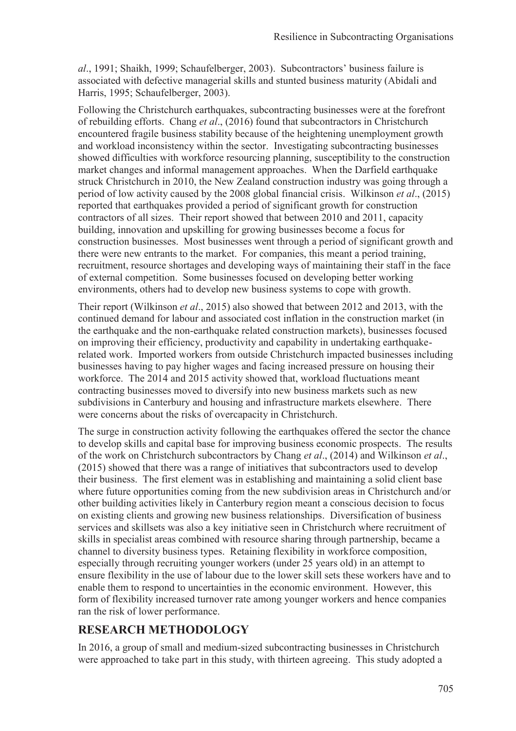*al*., 1991; Shaikh, 1999; Schaufelberger, 2003). Subcontractors' business failure is associated with defective managerial skills and stunted business maturity (Abidali and Harris, 1995; Schaufelberger, 2003).

Following the Christchurch earthquakes, subcontracting businesses were at the forefront of rebuilding efforts. Chang *et al*., (2016) found that subcontractors in Christchurch encountered fragile business stability because of the heightening unemployment growth and workload inconsistency within the sector. Investigating subcontracting businesses showed difficulties with workforce resourcing planning, susceptibility to the construction market changes and informal management approaches. When the Darfield earthquake struck Christchurch in 2010, the New Zealand construction industry was going through a period of low activity caused by the 2008 global financial crisis. Wilkinson *et al*., (2015) reported that earthquakes provided a period of significant growth for construction contractors of all sizes. Their report showed that between 2010 and 2011, capacity building, innovation and upskilling for growing businesses become a focus for construction businesses. Most businesses went through a period of significant growth and there were new entrants to the market. For companies, this meant a period training, recruitment, resource shortages and developing ways of maintaining their staff in the face of external competition. Some businesses focused on developing better working environments, others had to develop new business systems to cope with growth.

Their report (Wilkinson *et al*., 2015) also showed that between 2012 and 2013, with the continued demand for labour and associated cost inflation in the construction market (in the earthquake and the non-earthquake related construction markets), businesses focused on improving their efficiency, productivity and capability in undertaking earthquakerelated work. Imported workers from outside Christchurch impacted businesses including businesses having to pay higher wages and facing increased pressure on housing their workforce. The 2014 and 2015 activity showed that, workload fluctuations meant contracting businesses moved to diversify into new business markets such as new subdivisions in Canterbury and housing and infrastructure markets elsewhere. There were concerns about the risks of overcapacity in Christchurch.

The surge in construction activity following the earthquakes offered the sector the chance to develop skills and capital base for improving business economic prospects. The results of the work on Christchurch subcontractors by Chang *et al*., (2014) and Wilkinson *et al*., (2015) showed that there was a range of initiatives that subcontractors used to develop their business. The first element was in establishing and maintaining a solid client base where future opportunities coming from the new subdivision areas in Christchurch and/or other building activities likely in Canterbury region meant a conscious decision to focus on existing clients and growing new business relationships. Diversification of business services and skillsets was also a key initiative seen in Christchurch where recruitment of skills in specialist areas combined with resource sharing through partnership, became a channel to diversity business types. Retaining flexibility in workforce composition, especially through recruiting younger workers (under 25 years old) in an attempt to ensure flexibility in the use of labour due to the lower skill sets these workers have and to enable them to respond to uncertainties in the economic environment. However, this form of flexibility increased turnover rate among younger workers and hence companies ran the risk of lower performance.

# **RESEARCH METHODOLOGY**

In 2016, a group of small and medium-sized subcontracting businesses in Christchurch were approached to take part in this study, with thirteen agreeing. This study adopted a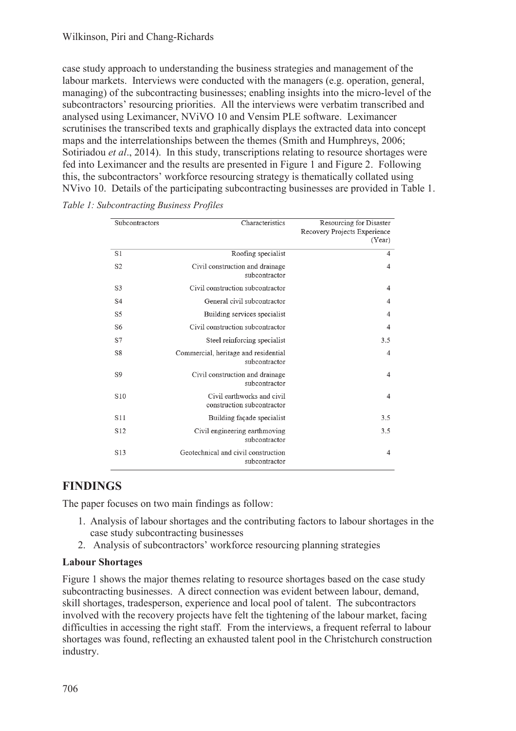#### Wilkinson, Piri and Chang-Richards

case study approach to understanding the business strategies and management of the labour markets. Interviews were conducted with the managers (e.g. operation, general, managing) of the subcontracting businesses; enabling insights into the micro-level of the subcontractors' resourcing priorities. All the interviews were verbatim transcribed and analysed using Leximancer, NViVO 10 and Vensim PLE software. Leximancer scrutinises the transcribed texts and graphically displays the extracted data into concept maps and the interrelationships between the themes (Smith and Humphreys, 2006; Sotiriadou *et al.*, 2014). In this study, transcriptions relating to resource shortages were fed into Leximancer and the results are presented in Figure 1 and Figure 2. Following this, the subcontractors' workforce resourcing strategy is thematically collated using NVivo 10. Details of the participating subcontracting businesses are provided in Table 1.

| Subcontractors  | Characteristics                                          | Resourcing for Disaster<br>Recovery Projects Experience<br>(Year) |
|-----------------|----------------------------------------------------------|-------------------------------------------------------------------|
| S1              | Roofing specialist                                       | $\overline{4}$                                                    |
| S <sub>2</sub>  | Civil construction and drainage<br>subcontractor         | $\overline{4}$                                                    |
| S <sub>3</sub>  | Civil construction subcontractor                         | $\overline{4}$                                                    |
| S <sub>4</sub>  | General civil subcontractor                              | 4                                                                 |
| S <sub>5</sub>  | Building services specialist                             | $\overline{4}$                                                    |
| S6              | Civil construction subcontractor                         | $\overline{4}$                                                    |
| S7              | Steel reinforcing specialist                             | 3.5                                                               |
| S8              | Commercial, heritage and residential<br>subcontractor    | $\overline{4}$                                                    |
| S <sub>9</sub>  | Civil construction and drainage<br>subcontractor         | $\overline{4}$                                                    |
| S <sub>10</sub> | Civil earthworks and civil<br>construction subcontractor | $\overline{4}$                                                    |
| S <sub>11</sub> | Building façade specialist                               | 3.5                                                               |
| S <sub>12</sub> | Civil engineering earthmoving<br>subcontractor           | 3.5                                                               |
| S <sub>13</sub> | Geotechnical and civil construction<br>subcontractor     | $\overline{4}$                                                    |

*Table 1: Subcontracting Business Profiles* 

# **FINDINGS**

The paper focuses on two main findings as follow:

- 1. Analysis of labour shortages and the contributing factors to labour shortages in the case study subcontracting businesses
- 2. Analysis of subcontractors' workforce resourcing planning strategies

#### **Labour Shortages**

Figure 1 shows the major themes relating to resource shortages based on the case study subcontracting businesses. A direct connection was evident between labour, demand, skill shortages, tradesperson, experience and local pool of talent. The subcontractors involved with the recovery projects have felt the tightening of the labour market, facing difficulties in accessing the right staff. From the interviews, a frequent referral to labour shortages was found, reflecting an exhausted talent pool in the Christchurch construction industry.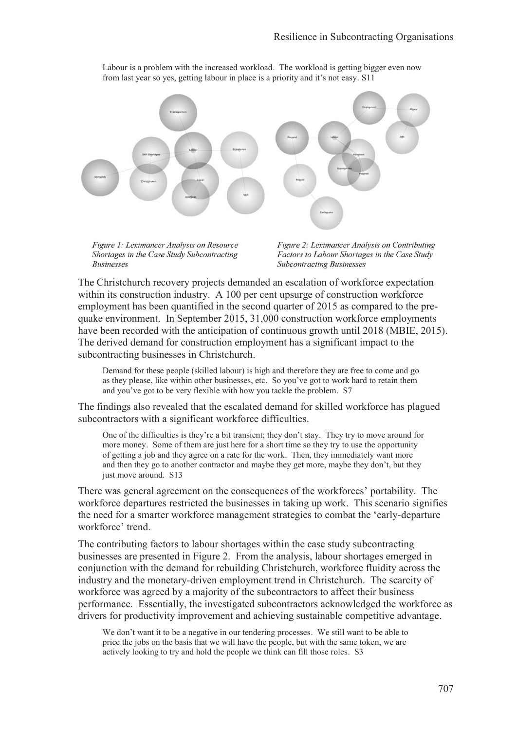

Labour is a problem with the increased workload. The workload is getting bigger even now from last year so yes, getting labour in place is a priority and it's not easy. S11

Figure 1: Leximancer Analysis on Resource Shortages in the Case Study Subcontracting **Businesses** 

Figure 2: Leximancer Analysis on Contributing Factors to Labour Shortages in the Case Study **Subcontracting Businesses** 

The Christchurch recovery projects demanded an escalation of workforce expectation within its construction industry. A 100 per cent upsurge of construction workforce employment has been quantified in the second quarter of 2015 as compared to the prequake environment. In September 2015, 31,000 construction workforce employments have been recorded with the anticipation of continuous growth until 2018 (MBIE, 2015). The derived demand for construction employment has a significant impact to the subcontracting businesses in Christchurch.

Demand for these people (skilled labour) is high and therefore they are free to come and go as they please, like within other businesses, etc. So you've got to work hard to retain them and you've got to be very flexible with how you tackle the problem. S7

The findings also revealed that the escalated demand for skilled workforce has plagued subcontractors with a significant workforce difficulties.

One of the difficulties is they're a bit transient; they don't stay. They try to move around for more money. Some of them are just here for a short time so they try to use the opportunity of getting a job and they agree on a rate for the work. Then, they immediately want more and then they go to another contractor and maybe they get more, maybe they don't, but they just move around. S13

There was general agreement on the consequences of the workforces' portability. The workforce departures restricted the businesses in taking up work. This scenario signifies the need for a smarter workforce management strategies to combat the 'early-departure workforce' trend.

The contributing factors to labour shortages within the case study subcontracting businesses are presented in Figure 2. From the analysis, labour shortages emerged in conjunction with the demand for rebuilding Christchurch, workforce fluidity across the industry and the monetary-driven employment trend in Christchurch. The scarcity of workforce was agreed by a majority of the subcontractors to affect their business performance. Essentially, the investigated subcontractors acknowledged the workforce as drivers for productivity improvement and achieving sustainable competitive advantage.

We don't want it to be a negative in our tendering processes. We still want to be able to price the jobs on the basis that we will have the people, but with the same token, we are actively looking to try and hold the people we think can fill those roles. S3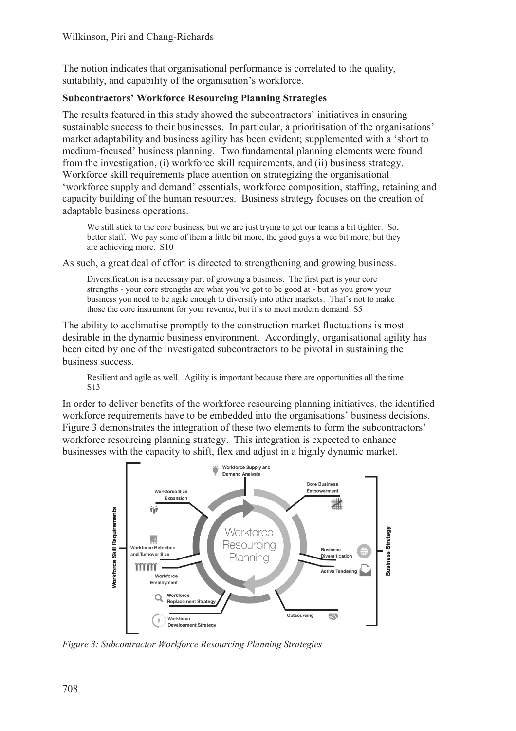The notion indicates that organisational performance is correlated to the quality, suitability, and capability of the organisation's workforce.

### **Subcontractors' Workforce Resourcing Planning Strategies**

The results featured in this study showed the subcontractors' initiatives in ensuring sustainable success to their businesses. In particular, a prioritisation of the organisations' market adaptability and business agility has been evident; supplemented with a 'short to medium-focused' business planning. Two fundamental planning elements were found from the investigation, (i) workforce skill requirements, and (ii) business strategy. Workforce skill requirements place attention on strategizing the organisational 'workforce supply and demand' essentials, workforce composition, staffing, retaining and capacity building of the human resources. Business strategy focuses on the creation of adaptable business operations.

We still stick to the core business, but we are just trying to get our teams a bit tighter. So, better staff. We pay some of them a little bit more, the good guys a wee bit more, but they are achieving more. S10

As such, a great deal of effort is directed to strengthening and growing business.

Diversification is a necessary part of growing a business. The first part is your core strengths - your core strengths are what you've got to be good at - but as you grow your business you need to be agile enough to diversify into other markets. That's not to make those the core instrument for your revenue, but it's to meet modern demand. S5

The ability to acclimatise promptly to the construction market fluctuations is most desirable in the dynamic business environment. Accordingly, organisational agility has been cited by one of the investigated subcontractors to be pivotal in sustaining the business success.

Resilient and agile as well. Agility is important because there are opportunities all the time. S13

In order to deliver benefits of the workforce resourcing planning initiatives, the identified workforce requirements have to be embedded into the organisations' business decisions. Figure 3 demonstrates the integration of these two elements to form the subcontractors' workforce resourcing planning strategy. This integration is expected to enhance businesses with the capacity to shift, flex and adjust in a highly dynamic market.



*Figure 3: Subcontractor Workforce Resourcing Planning Strategies*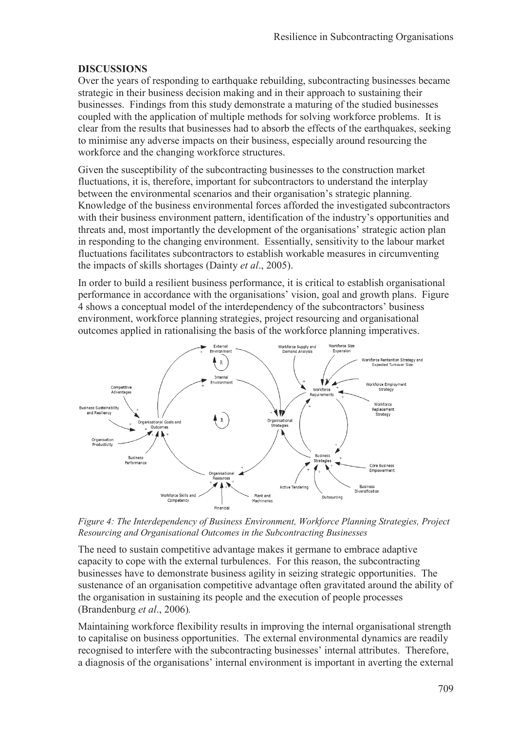### **DISCUSSIONS**

Over the years of responding to earthquake rebuilding, subcontracting businesses became strategic in their business decision making and in their approach to sustaining their businesses. Findings from this study demonstrate a maturing of the studied businesses coupled with the application of multiple methods for solving workforce problems. It is clear from the results that businesses had to absorb the effects of the earthquakes, seeking to minimise any adverse impacts on their business, especially around resourcing the workforce and the changing workforce structures.

Given the susceptibility of the subcontracting businesses to the construction market fluctuations, it is, therefore, important for subcontractors to understand the interplay between the environmental scenarios and their organisation's strategic planning. Knowledge of the business environmental forces afforded the investigated subcontractors with their business environment pattern, identification of the industry's opportunities and threats and, most importantly the development of the organisations' strategic action plan in responding to the changing environment. Essentially, sensitivity to the labour market fluctuations facilitates subcontractors to establish workable measures in circumventing the impacts of skills shortages (Dainty *et al*., 2005).

In order to build a resilient business performance, it is critical to establish organisational performance in accordance with the organisations' vision, goal and growth plans. Figure 4 shows a conceptual model of the interdependency of the subcontractors' business environment, workforce planning strategies, project resourcing and organisational outcomes applied in rationalising the basis of the workforce planning imperatives.



*Figure 4: The Interdependency of Business Environment, Workforce Planning Strategies, Project Resourcing and Organisational Outcomes in the Subcontracting Businesses* 

The need to sustain competitive advantage makes it germane to embrace adaptive capacity to cope with the external turbulences. For this reason, the subcontracting businesses have to demonstrate business agility in seizing strategic opportunities. The sustenance of an organisation competitive advantage often gravitated around the ability of the organisation in sustaining its people and the execution of people processes (Brandenburg *et al*., 2006)*.* 

Maintaining workforce flexibility results in improving the internal organisational strength to capitalise on business opportunities. The external environmental dynamics are readily recognised to interfere with the subcontracting businesses' internal attributes. Therefore, a diagnosis of the organisations' internal environment is important in averting the external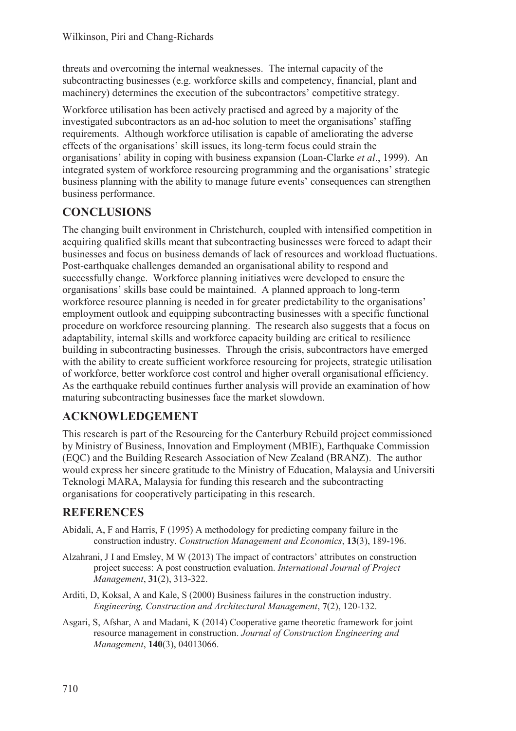threats and overcoming the internal weaknesses. The internal capacity of the subcontracting businesses (e.g. workforce skills and competency, financial, plant and machinery) determines the execution of the subcontractors' competitive strategy.

Workforce utilisation has been actively practised and agreed by a majority of the investigated subcontractors as an ad-hoc solution to meet the organisations' staffing requirements. Although workforce utilisation is capable of ameliorating the adverse effects of the organisations' skill issues, its long-term focus could strain the organisations' ability in coping with business expansion (Loan-Clarke *et al*., 1999). An integrated system of workforce resourcing programming and the organisations' strategic business planning with the ability to manage future events' consequences can strengthen business performance.

# **CONCLUSIONS**

The changing built environment in Christchurch, coupled with intensified competition in acquiring qualified skills meant that subcontracting businesses were forced to adapt their businesses and focus on business demands of lack of resources and workload fluctuations. Post-earthquake challenges demanded an organisational ability to respond and successfully change. Workforce planning initiatives were developed to ensure the organisations' skills base could be maintained. A planned approach to long-term workforce resource planning is needed in for greater predictability to the organisations' employment outlook and equipping subcontracting businesses with a specific functional procedure on workforce resourcing planning. The research also suggests that a focus on adaptability, internal skills and workforce capacity building are critical to resilience building in subcontracting businesses. Through the crisis, subcontractors have emerged with the ability to create sufficient workforce resourcing for projects, strategic utilisation of workforce, better workforce cost control and higher overall organisational efficiency. As the earthquake rebuild continues further analysis will provide an examination of how maturing subcontracting businesses face the market slowdown.

# **ACKNOWLEDGEMENT**

This research is part of the Resourcing for the Canterbury Rebuild project commissioned by Ministry of Business, Innovation and Employment (MBIE), Earthquake Commission (EQC) and the Building Research Association of New Zealand (BRANZ). The author would express her sincere gratitude to the Ministry of Education, Malaysia and Universiti Teknologi MARA, Malaysia for funding this research and the subcontracting organisations for cooperatively participating in this research.

# **REFERENCES**

- Abidali, A, F and Harris, F (1995) A methodology for predicting company failure in the construction industry. *Construction Management and Economics*, **13**(3), 189-196.
- Alzahrani, J I and Emsley, M W (2013) The impact of contractors' attributes on construction project success: A post construction evaluation. *International Journal of Project Management*, **31**(2), 313-322.
- Arditi, D, Koksal, A and Kale, S (2000) Business failures in the construction industry. *Engineering, Construction and Architectural Management*, **7**(2), 120-132.
- Asgari, S, Afshar, A and Madani, K (2014) Cooperative game theoretic framework for joint resource management in construction. *Journal of Construction Engineering and Management*, **140**(3), 04013066.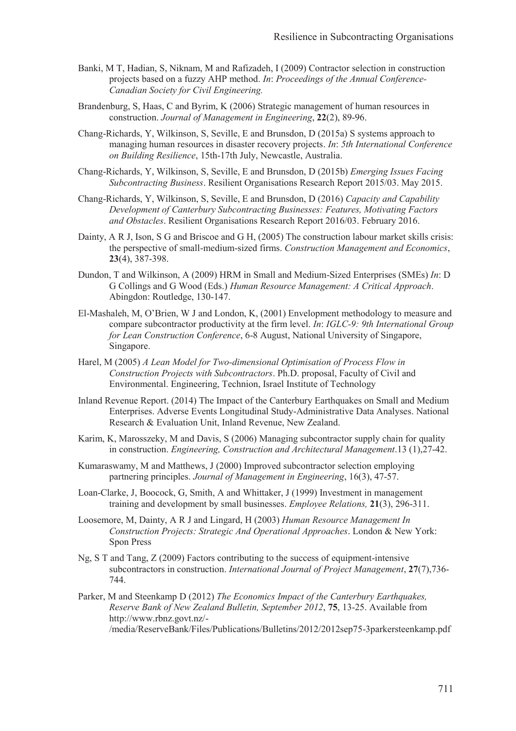- Banki, M T, Hadian, S, Niknam, M and Rafizadeh, I (2009) Contractor selection in construction projects based on a fuzzy AHP method. *In*: *Proceedings of the Annual Conference-Canadian Society for Civil Engineering.*
- Brandenburg, S, Haas, C and Byrim, K (2006) Strategic management of human resources in construction. *Journal of Management in Engineering*, **22**(2), 89-96.
- Chang-Richards, Y, Wilkinson, S, Seville, E and Brunsdon, D (2015a) S systems approach to managing human resources in disaster recovery projects. *In*: *5th International Conference on Building Resilience*, 15th-17th July, Newcastle, Australia.
- Chang-Richards, Y, Wilkinson, S, Seville, E and Brunsdon, D (2015b) *Emerging Issues Facing Subcontracting Business*. Resilient Organisations Research Report 2015/03. May 2015.
- Chang-Richards, Y, Wilkinson, S, Seville, E and Brunsdon, D (2016) *Capacity and Capability Development of Canterbury Subcontracting Businesses: Features, Motivating Factors and Obstacles*. Resilient Organisations Research Report 2016/03. February 2016.
- Dainty, A R J, Ison, S G and Briscoe and G H, (2005) The construction labour market skills crisis: the perspective of small-medium-sized firms. *Construction Management and Economics*, **23**(4), 387-398.
- Dundon, T and Wilkinson, A (2009) HRM in Small and Medium-Sized Enterprises (SMEs) *In*: D G Collings and G Wood (Eds.) *Human Resource Management: A Critical Approach*. Abingdon: Routledge, 130-147.
- El-Mashaleh, M, O'Brien, W J and London, K, (2001) Envelopment methodology to measure and compare subcontractor productivity at the firm level. *In*: *IGLC-9: 9th International Group for Lean Construction Conference*, 6-8 August, National University of Singapore, Singapore.
- Harel, M (2005) *A Lean Model for Two-dimensional Optimisation of Process Flow in Construction Projects with Subcontractors*. Ph.D. proposal, Faculty of Civil and Environmental. Engineering, Technion, Israel Institute of Technology
- Inland Revenue Report. (2014) The Impact of the Canterbury Earthquakes on Small and Medium Enterprises. Adverse Events Longitudinal Study-Administrative Data Analyses. National Research & Evaluation Unit, Inland Revenue, New Zealand.
- Karim, K, Marosszeky, M and Davis, S (2006) Managing subcontractor supply chain for quality in construction. *Engineering, Construction and Architectural Management*.13 (1),27-42.
- Kumaraswamy, M and Matthews, J (2000) Improved subcontractor selection employing partnering principles. *Journal of Management in Engineering*, 16(3), 47-57.
- Loan-Clarke, J, Boocock, G, Smith, A and Whittaker, J (1999) Investment in management training and development by small businesses. *Employee Relations,* **21**(3), 296-311.
- Loosemore, M, Dainty, A R J and Lingard, H (2003) *Human Resource Management In Construction Projects: Strategic And Operational Approaches*. London & New York: Spon Press
- Ng, S T and Tang, Z (2009) Factors contributing to the success of equipment-intensive subcontractors in construction. *International Journal of Project Management*, **27**(7),736- 744.
- Parker, M and Steenkamp D (2012) *The Economics Impact of the Canterbury Earthquakes, Reserve Bank of New Zealand Bulletin, September 2012*, **75**, 13-25. Available from http://www.rbnz.govt.nz/- /media/ReserveBank/Files/Publications/Bulletins/2012/2012sep75-3parkersteenkamp.pdf